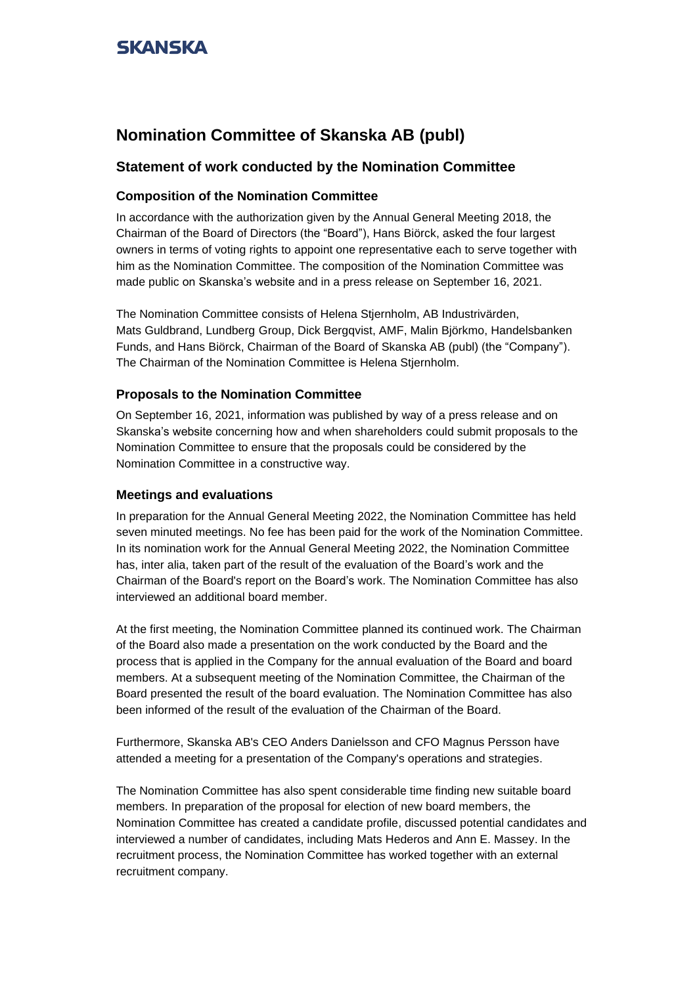### **Nomination Committee of Skanska AB (publ)**

### **Statement of work conducted by the Nomination Committee**

### **Composition of the Nomination Committee**

In accordance with the authorization given by the Annual General Meeting 2018, the Chairman of the Board of Directors (the "Board"), Hans Biörck, asked the four largest owners in terms of voting rights to appoint one representative each to serve together with him as the Nomination Committee. The composition of the Nomination Committee was made public on Skanska's website and in a press release on September 16, 2021.

The Nomination Committee consists of Helena Stjernholm, AB Industrivärden, Mats Guldbrand, Lundberg Group, Dick Bergqvist, AMF, Malin Björkmo, Handelsbanken Funds, and Hans Biörck, Chairman of the Board of Skanska AB (publ) (the "Company"). The Chairman of the Nomination Committee is Helena Stjernholm.

#### **Proposals to the Nomination Committee**

On September 16, 2021, information was published by way of a press release and on Skanska's website concerning how and when shareholders could submit proposals to the Nomination Committee to ensure that the proposals could be considered by the Nomination Committee in a constructive way.

#### **Meetings and evaluations**

In preparation for the Annual General Meeting 2022, the Nomination Committee has held seven minuted meetings. No fee has been paid for the work of the Nomination Committee. In its nomination work for the Annual General Meeting 2022, the Nomination Committee has, inter alia, taken part of the result of the evaluation of the Board's work and the Chairman of the Board's report on the Board's work. The Nomination Committee has also interviewed an additional board member.

At the first meeting, the Nomination Committee planned its continued work. The Chairman of the Board also made a presentation on the work conducted by the Board and the process that is applied in the Company for the annual evaluation of the Board and board members. At a subsequent meeting of the Nomination Committee, the Chairman of the Board presented the result of the board evaluation. The Nomination Committee has also been informed of the result of the evaluation of the Chairman of the Board.

Furthermore, Skanska AB's CEO Anders Danielsson and CFO Magnus Persson have attended a meeting for a presentation of the Company's operations and strategies.

The Nomination Committee has also spent considerable time finding new suitable board members. In preparation of the proposal for election of new board members, the Nomination Committee has created a candidate profile, discussed potential candidates and interviewed a number of candidates, including Mats Hederos and Ann E. Massey. In the recruitment process, the Nomination Committee has worked together with an external recruitment company.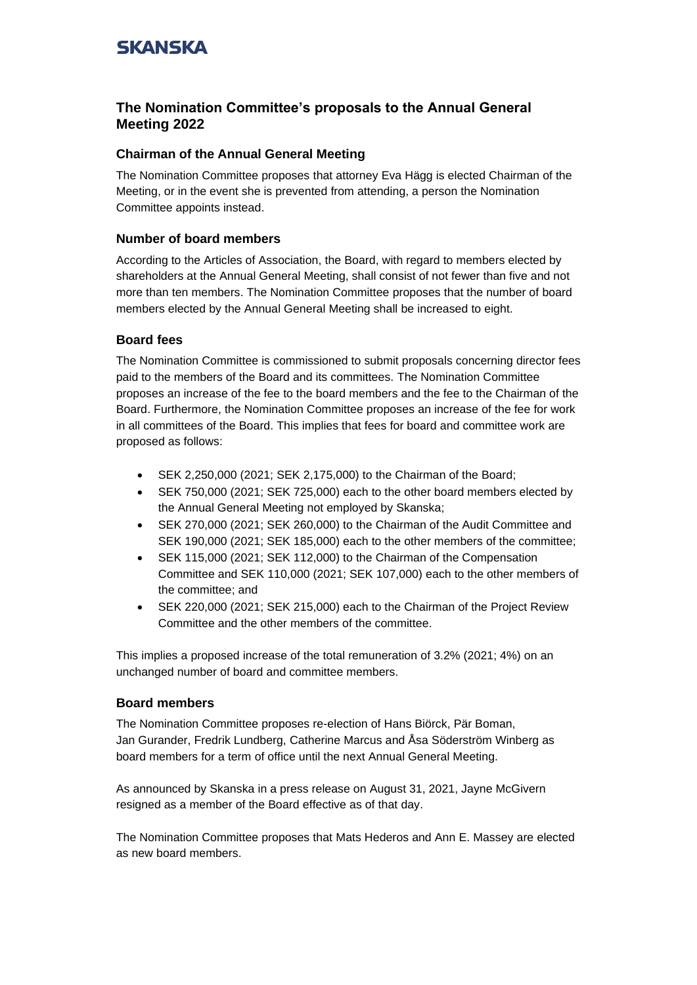### **The Nomination Committee's proposals to the Annual General Meeting 2022**

### **Chairman of the Annual General Meeting**

The Nomination Committee proposes that attorney Eva Hägg is elected Chairman of the Meeting, or in the event she is prevented from attending, a person the Nomination Committee appoints instead.

### **Number of board members**

According to the Articles of Association, the Board, with regard to members elected by shareholders at the Annual General Meeting, shall consist of not fewer than five and not more than ten members. The Nomination Committee proposes that the number of board members elected by the Annual General Meeting shall be increased to eight.

### **Board fees**

The Nomination Committee is commissioned to submit proposals concerning director fees paid to the members of the Board and its committees. The Nomination Committee proposes an increase of the fee to the board members and the fee to the Chairman of the Board. Furthermore, the Nomination Committee proposes an increase of the fee for work in all committees of the Board. This implies that fees for board and committee work are proposed as follows:

- SEK 2,250,000 (2021; SEK 2,175,000) to the Chairman of the Board;
- SEK 750,000 (2021; SEK 725,000) each to the other board members elected by the Annual General Meeting not employed by Skanska;
- SEK 270,000 (2021; SEK 260,000) to the Chairman of the Audit Committee and SEK 190,000 (2021; SEK 185,000) each to the other members of the committee;
- SEK 115,000 (2021; SEK 112,000) to the Chairman of the Compensation Committee and SEK 110,000 (2021; SEK 107,000) each to the other members of the committee; and
- SEK 220,000 (2021; SEK 215,000) each to the Chairman of the Project Review Committee and the other members of the committee.

This implies a proposed increase of the total remuneration of 3.2% (2021; 4%) on an unchanged number of board and committee members.

### **Board members**

The Nomination Committee proposes re-election of Hans Biörck, Pär Boman, Jan Gurander, Fredrik Lundberg, Catherine Marcus and Åsa Söderström Winberg as board members for a term of office until the next Annual General Meeting.

As announced by Skanska in a press release on August 31, 2021, Jayne McGivern resigned as a member of the Board effective as of that day.

The Nomination Committee proposes that Mats Hederos and Ann E. Massey are elected as new board members.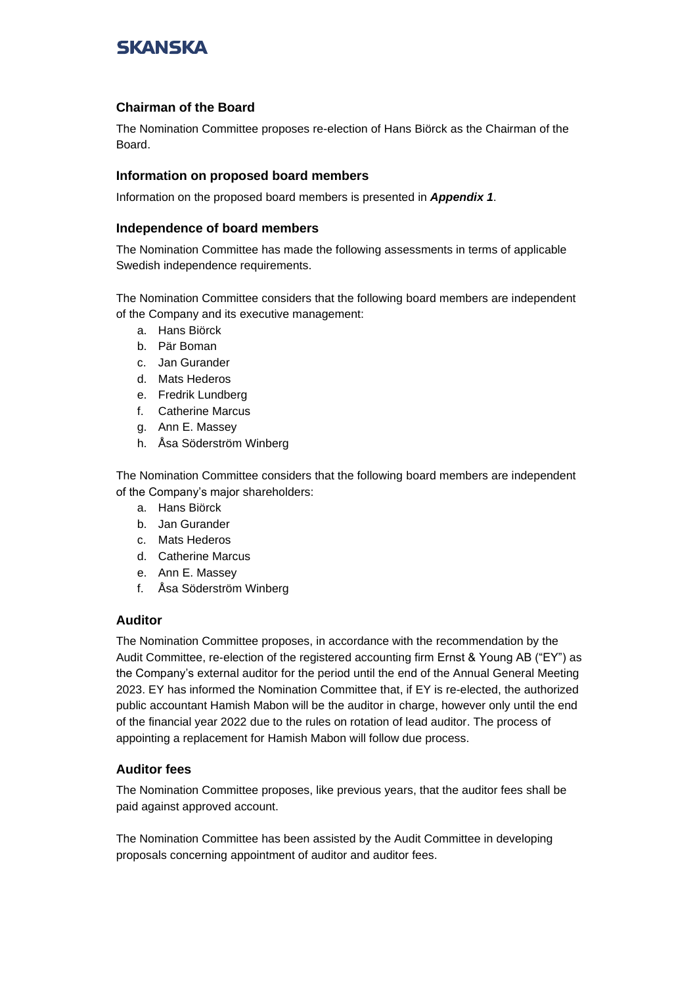### **Chairman of the Board**

The Nomination Committee proposes re-election of Hans Biörck as the Chairman of the Board.

#### **Information on proposed board members**

Information on the proposed board members is presented in *Appendix 1*.

#### **Independence of board members**

The Nomination Committee has made the following assessments in terms of applicable Swedish independence requirements.

The Nomination Committee considers that the following board members are independent of the Company and its executive management:

- a. Hans Biörck
- b. Pär Boman
- c. Jan Gurander
- d. Mats Hederos
- e. Fredrik Lundberg
- f. Catherine Marcus
- g. Ann E. Massey
- h. Åsa Söderström Winberg

The Nomination Committee considers that the following board members are independent of the Company's major shareholders:

- a. Hans Biörck
- b. Jan Gurander
- c. Mats Hederos
- d. Catherine Marcus
- e. Ann E. Massey
- f. Åsa Söderström Winberg

#### **Auditor**

The Nomination Committee proposes, in accordance with the recommendation by the Audit Committee, re-election of the registered accounting firm Ernst & Young AB ("EY") as the Company's external auditor for the period until the end of the Annual General Meeting 2023. EY has informed the Nomination Committee that, if EY is re-elected, the authorized public accountant Hamish Mabon will be the auditor in charge, however only until the end of the financial year 2022 due to the rules on rotation of lead auditor. The process of appointing a replacement for Hamish Mabon will follow due process.

### **Auditor fees**

The Nomination Committee proposes, like previous years, that the auditor fees shall be paid against approved account.

The Nomination Committee has been assisted by the Audit Committee in developing proposals concerning appointment of auditor and auditor fees.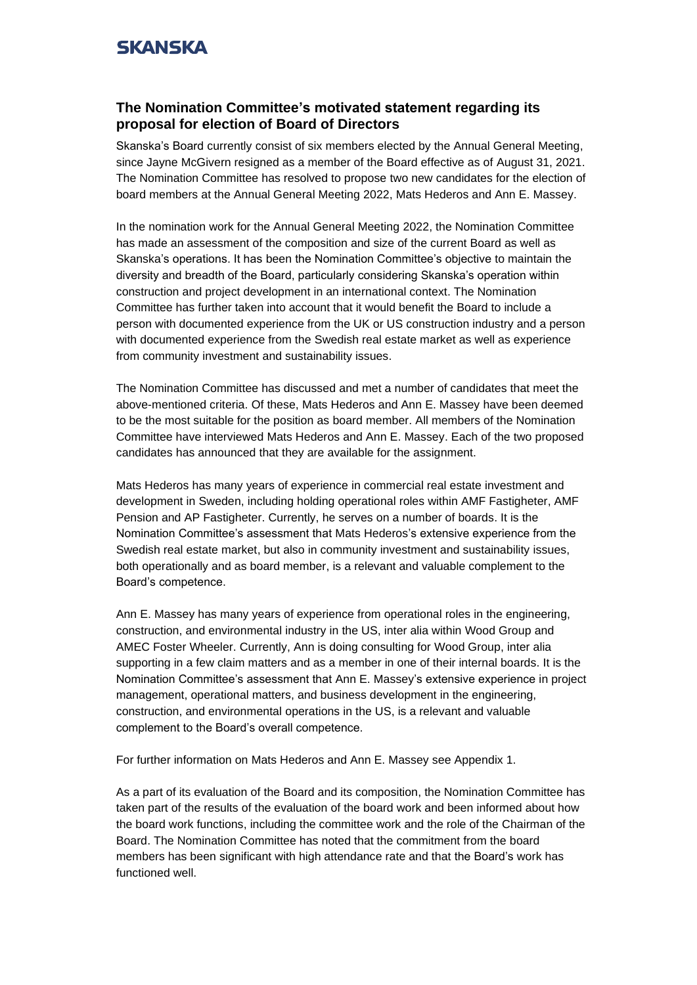### **The Nomination Committee's motivated statement regarding its proposal for election of Board of Directors**

Skanska's Board currently consist of six members elected by the Annual General Meeting, since Jayne McGivern resigned as a member of the Board effective as of August 31, 2021. The Nomination Committee has resolved to propose two new candidates for the election of board members at the Annual General Meeting 2022, Mats Hederos and Ann E. Massey.

In the nomination work for the Annual General Meeting 2022, the Nomination Committee has made an assessment of the composition and size of the current Board as well as Skanska's operations. It has been the Nomination Committee's objective to maintain the diversity and breadth of the Board, particularly considering Skanska's operation within construction and project development in an international context. The Nomination Committee has further taken into account that it would benefit the Board to include a person with documented experience from the UK or US construction industry and a person with documented experience from the Swedish real estate market as well as experience from community investment and sustainability issues.

The Nomination Committee has discussed and met a number of candidates that meet the above-mentioned criteria. Of these, Mats Hederos and Ann E. Massey have been deemed to be the most suitable for the position as board member. All members of the Nomination Committee have interviewed Mats Hederos and Ann E. Massey. Each of the two proposed candidates has announced that they are available for the assignment.

Mats Hederos has many years of experience in commercial real estate investment and development in Sweden, including holding operational roles within AMF Fastigheter, AMF Pension and AP Fastigheter. Currently, he serves on a number of boards. It is the Nomination Committee's assessment that Mats Hederos's extensive experience from the Swedish real estate market, but also in community investment and sustainability issues, both operationally and as board member, is a relevant and valuable complement to the Board's competence.

Ann E. Massey has many years of experience from operational roles in the engineering, construction, and environmental industry in the US, inter alia within Wood Group and AMEC Foster Wheeler. Currently, Ann is doing consulting for Wood Group, inter alia supporting in a few claim matters and as a member in one of their internal boards. It is the Nomination Committee's assessment that Ann E. Massey's extensive experience in project management, operational matters, and business development in the engineering, construction, and environmental operations in the US, is a relevant and valuable complement to the Board's overall competence.

For further information on Mats Hederos and Ann E. Massey see Appendix 1.

As a part of its evaluation of the Board and its composition, the Nomination Committee has taken part of the results of the evaluation of the board work and been informed about how the board work functions, including the committee work and the role of the Chairman of the Board. The Nomination Committee has noted that the commitment from the board members has been significant with high attendance rate and that the Board's work has functioned well.